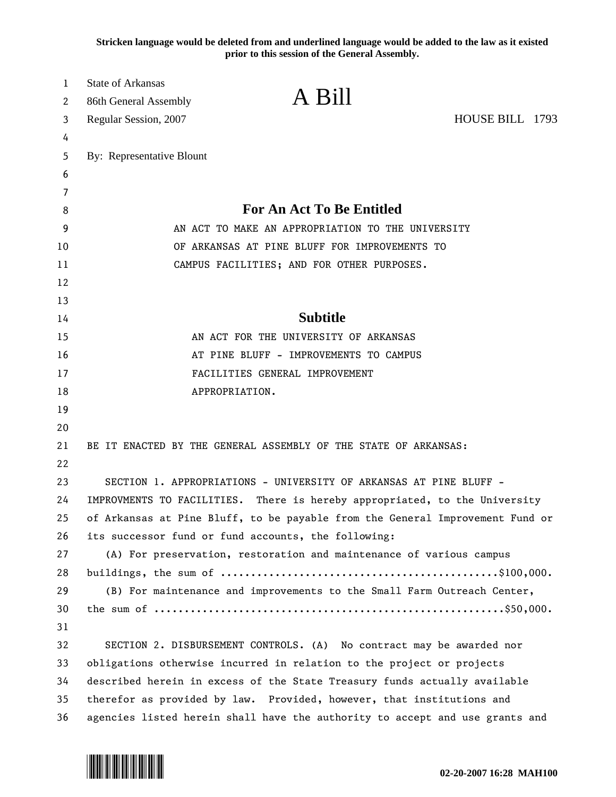**Stricken language would be deleted from and underlined language would be added to the law as it existed prior to this session of the General Assembly.**

| 1       | <b>State of Arkansas</b>                                                      | A Bill                                                               |                 |
|---------|-------------------------------------------------------------------------------|----------------------------------------------------------------------|-----------------|
| 2       | 86th General Assembly                                                         |                                                                      |                 |
| 3       | Regular Session, 2007                                                         |                                                                      | HOUSE BILL 1793 |
| 4       |                                                                               |                                                                      |                 |
| 5       | By: Representative Blount                                                     |                                                                      |                 |
| 6       |                                                                               |                                                                      |                 |
| 7       |                                                                               | For An Act To Be Entitled                                            |                 |
| 8       | AN ACT TO MAKE AN APPROPRIATION TO THE UNIVERSITY                             |                                                                      |                 |
| 9<br>10 | OF ARKANSAS AT PINE BLUFF FOR IMPROVEMENTS TO                                 |                                                                      |                 |
| 11      | CAMPUS FACILITIES; AND FOR OTHER PURPOSES.                                    |                                                                      |                 |
| 12      |                                                                               |                                                                      |                 |
| 13      |                                                                               |                                                                      |                 |
| 14      |                                                                               | <b>Subtitle</b>                                                      |                 |
| 15      | AN ACT FOR THE UNIVERSITY OF ARKANSAS                                         |                                                                      |                 |
| 16      | AT PINE BLUFF - IMPROVEMENTS TO CAMPUS                                        |                                                                      |                 |
| 17      | FACILITIES GENERAL IMPROVEMENT                                                |                                                                      |                 |
| 18      | APPROPRIATION.                                                                |                                                                      |                 |
| 19      |                                                                               |                                                                      |                 |
| 20      |                                                                               |                                                                      |                 |
| 21      |                                                                               | BE IT ENACTED BY THE GENERAL ASSEMBLY OF THE STATE OF ARKANSAS:      |                 |
| 22      |                                                                               |                                                                      |                 |
| 23      |                                                                               | SECTION 1. APPROPRIATIONS - UNIVERSITY OF ARKANSAS AT PINE BLUFF -   |                 |
| 24      | IMPROVMENTS TO FACILITIES. There is hereby appropriated, to the University    |                                                                      |                 |
| 25      | of Arkansas at Pine Bluff, to be payable from the General Improvement Fund or |                                                                      |                 |
| 26      | its successor fund or fund accounts, the following:                           |                                                                      |                 |
| 27      | (A) For preservation, restoration and maintenance of various campus           |                                                                      |                 |
| 28      |                                                                               |                                                                      |                 |
| 29      | (B) For maintenance and improvements to the Small Farm Outreach Center,       |                                                                      |                 |
| 30      |                                                                               |                                                                      |                 |
| 31      |                                                                               |                                                                      |                 |
| 32      |                                                                               | SECTION 2. DISBURSEMENT CONTROLS. (A) No contract may be awarded nor |                 |
| 33      | obligations otherwise incurred in relation to the project or projects         |                                                                      |                 |
| 34      | described herein in excess of the State Treasury funds actually available     |                                                                      |                 |
| 35      | therefor as provided by law. Provided, however, that institutions and         |                                                                      |                 |
| 36      | agencies listed herein shall have the authority to accept and use grants and  |                                                                      |                 |